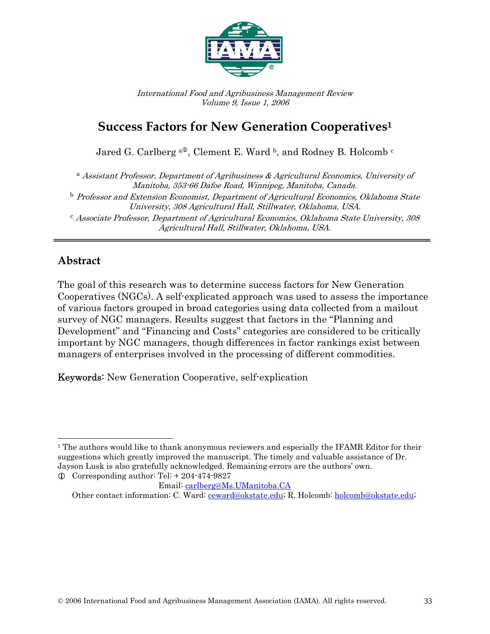

International Food and Agribusiness Management Review Volume 9, Issue 1, 2006

# **Success Factors for New Generation Cooperatives1**

Jared G. Carlberg <sup>a $\Phi$ </sup>, Clement E. Ward <sup>b</sup>, and Rodney B. Holcomb <sup>c</sup>

<sup>a</sup> Assistant Professor, Department of Agribusiness & Agricultural Economics, University of Manitoba, 353-66 Dafoe Road, Winnipeg, Manitoba, Canada. <sup>b</sup> Professor and Extension Economist, Department of Agricultural Economics, Oklahoma State University, 308 Agricultural Hall, Stillwater, Oklahoma, USA. <sup>c</sup> Associate Professor, Department of Agricultural Economics, Oklahoma State University, 308 Agricultural Hall, Stillwater, Oklahoma, USA.

### **Abstract**

The goal of this research was to determine success factors for New Generation Cooperatives (NGCs). A self-explicated approach was used to assess the importance of various factors grouped in broad categories using data collected from a mailout survey of NGC managers. Results suggest that factors in the "Planning and Development" and "Financing and Costs" categories are considered to be critically important by NGC managers, though differences in factor rankings exist between managers of enterprises involved in the processing of different commodities.

Keywords: New Generation Cooperative, self-explication

 $\overline{a}$ <sup>1</sup> The authors would like to thank anonymous reviewers and especially the IFAMR Editor for their suggestions which greatly improved the manuscript. The timely and valuable assistance of Dr. Jayson Lusk is also gratefully acknowledged. Remaining errors are the authors' own.  $\odot$  Corresponding author: Tel: + 204-474-9827

Email: carlberg@Ms.UManitoba.CA

Other contact information: C. Ward: ceward@okstate.edu; R. Holcomb: holcomb@okstate.edu;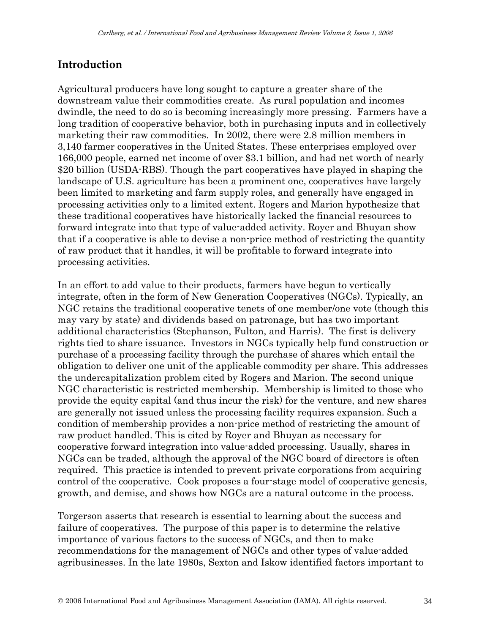# **Introduction**

Agricultural producers have long sought to capture a greater share of the downstream value their commodities create. As rural population and incomes dwindle, the need to do so is becoming increasingly more pressing. Farmers have a long tradition of cooperative behavior, both in purchasing inputs and in collectively marketing their raw commodities. In 2002, there were 2.8 million members in 3,140 farmer cooperatives in the United States. These enterprises employed over 166,000 people, earned net income of over \$3.1 billion, and had net worth of nearly \$20 billion (USDA-RBS). Though the part cooperatives have played in shaping the landscape of U.S. agriculture has been a prominent one, cooperatives have largely been limited to marketing and farm supply roles, and generally have engaged in processing activities only to a limited extent. Rogers and Marion hypothesize that these traditional cooperatives have historically lacked the financial resources to forward integrate into that type of value-added activity. Royer and Bhuyan show that if a cooperative is able to devise a non-price method of restricting the quantity of raw product that it handles, it will be profitable to forward integrate into processing activities.

In an effort to add value to their products, farmers have begun to vertically integrate, often in the form of New Generation Cooperatives (NGCs). Typically, an NGC retains the traditional cooperative tenets of one member/one vote (though this may vary by state) and dividends based on patronage, but has two important additional characteristics (Stephanson, Fulton, and Harris). The first is delivery rights tied to share issuance. Investors in NGCs typically help fund construction or purchase of a processing facility through the purchase of shares which entail the obligation to deliver one unit of the applicable commodity per share. This addresses the undercapitalization problem cited by Rogers and Marion. The second unique NGC characteristic is restricted membership. Membership is limited to those who provide the equity capital (and thus incur the risk) for the venture, and new shares are generally not issued unless the processing facility requires expansion. Such a condition of membership provides a non-price method of restricting the amount of raw product handled. This is cited by Royer and Bhuyan as necessary for cooperative forward integration into value-added processing. Usually, shares in NGCs can be traded, although the approval of the NGC board of directors is often required. This practice is intended to prevent private corporations from acquiring control of the cooperative. Cook proposes a four-stage model of cooperative genesis, growth, and demise, and shows how NGCs are a natural outcome in the process.

Torgerson asserts that research is essential to learning about the success and failure of cooperatives. The purpose of this paper is to determine the relative importance of various factors to the success of NGCs, and then to make recommendations for the management of NGCs and other types of value-added agribusinesses. In the late 1980s, Sexton and Iskow identified factors important to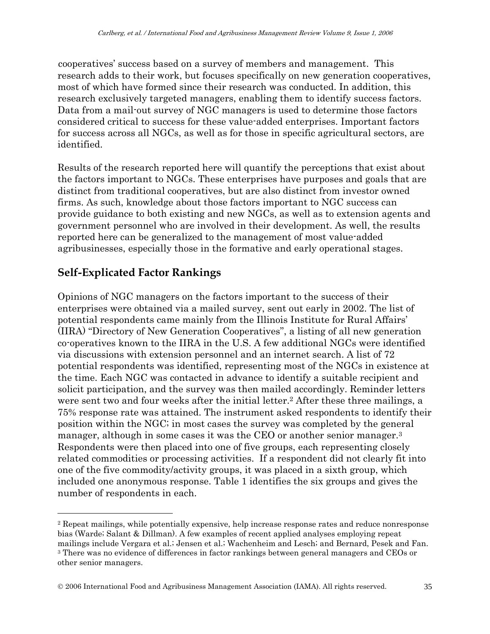1cooperatives' success based on a survey of members and management. This research adds to their work, but focuses specifically on new generation cooperatives, most of which have formed since their research was conducted. In addition, this research exclusively targeted managers, enabling them to identify success factors. Data from a mail-out survey of NGC managers is used to determine those factors considered critical to success for these value-added enterprises. Important factors for success across all NGCs, as well as for those in specific agricultural sectors, are identified.

Results of the research reported here will quantify the perceptions that exist about the factors important to NGCs. These enterprises have purposes and goals that are distinct from traditional cooperatives, but are also distinct from investor owned firms. As such, knowledge about those factors important to NGC success can provide guidance to both existing and new NGCs, as well as to extension agents and government personnel who are involved in their development. As well, the results reported here can be generalized to the management of most value-added agribusinesses, especially those in the formative and early operational stages.

# **Self-Explicated Factor Rankings**

 $\overline{a}$ 

Opinions of NGC managers on the factors important to the success of their enterprises were obtained via a mailed survey, sent out early in 2002. The list of potential respondents came mainly from the Illinois Institute for Rural Affairs' (IIRA) "Directory of New Generation Cooperatives", a listing of all new generation co-operatives known to the IIRA in the U.S. A few additional NGCs were identified via discussions with extension personnel and an internet search. A list of 72 potential respondents was identified, representing most of the NGCs in existence at the time. Each NGC was contacted in advance to identify a suitable recipient and solicit participation, and the survey was then mailed accordingly. Reminder letters were sent two and four weeks after the initial letter.<sup>2</sup> After these three mailings, a 75% response rate was attained. The instrument asked respondents to identify their position within the NGC; in most cases the survey was completed by the general manager, although in some cases it was the CEO or another senior manager.<sup>3</sup> Respondents were then placed into one of five groups, each representing closely related commodities or processing activities. If a respondent did not clearly fit into one of the five commodity/activity groups, it was placed in a sixth group, which included one anonymous response. Table 1 identifies the six groups and gives the number of respondents in each.

<sup>2</sup> Repeat mailings, while potentially expensive, help increase response rates and reduce nonresponse bias (Warde; Salant & Dillman). A few examples of recent applied analyses employing repeat mailings include Vergara et al.; Jensen et al.; Wachenheim and Lesch; and Bernard, Pesek and Fan. 3 There was no evidence of differences in factor rankings between general managers and CEOs or other senior managers.

<sup>©</sup> 2006 International Food and Agribusiness Management Association (IAMA). All rights reserved. 35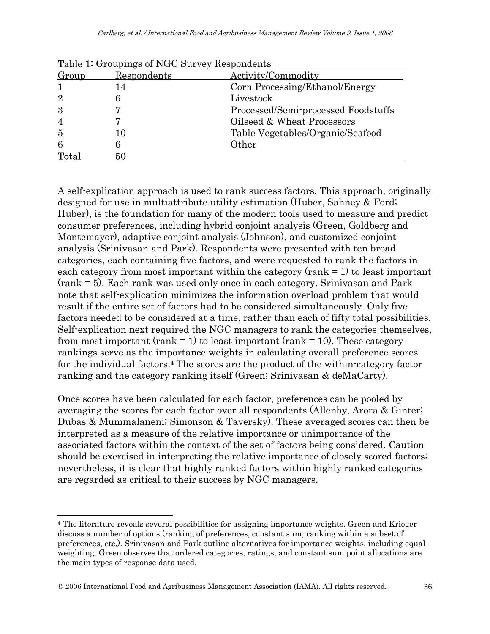|                | <b>Table 1.</b> Groupings of NGC Survey Respondents |                                     |
|----------------|-----------------------------------------------------|-------------------------------------|
| Group          | Respondents                                         | Activity/Commodity                  |
|                | 14                                                  | Corn Processing/Ethanol/Energy      |
| $\overline{2}$ |                                                     | Livestock                           |
| 3              |                                                     | Processed/Semi-processed Foodstuffs |
| $\overline{4}$ |                                                     | Oilseed & Wheat Processors          |
| $\overline{5}$ | 10                                                  | Table Vegetables/Organic/Seafood    |
| 6              |                                                     | Other                               |
| Total          | 50                                                  |                                     |

Table 1: Groupings of NGC Survey Respondents

A self-explication approach is used to rank success factors. This approach, originally designed for use in multiattribute utility estimation (Huber, Sahney & Ford; Huber), is the foundation for many of the modern tools used to measure and predict consumer preferences, including hybrid conjoint analysis (Green, Goldberg and Montemayor), adaptive conjoint analysis (Johnson), and customized conjoint analysis (Srinivasan and Park). Respondents were presented with ten broad categories, each containing five factors, and were requested to rank the factors in each category from most important within the category (rank  $= 1$ ) to least important (rank = 5). Each rank was used only once in each category. Srinivasan and Park note that self-explication minimizes the information overload problem that would result if the entire set of factors had to be considered simultaneously. Only five factors needed to be considered at a time, rather than each of fifty total possibilities. Self-explication next required the NGC managers to rank the categories themselves, from most important (rank  $= 1$ ) to least important (rank  $= 10$ ). These category rankings serve as the importance weights in calculating overall preference scores for the individual factors.4 The scores are the product of the within-category factor ranking and the category ranking itself (Green; Srinivasan & deMaCarty).

Once scores have been calculated for each factor, preferences can be pooled by averaging the scores for each factor over all respondents (Allenby, Arora & Ginter; Dubas & Mummalaneni; Simonson & Taversky). These averaged scores can then be interpreted as a measure of the relative importance or unimportance of the associated factors within the context of the set of factors being considered. Caution should be exercised in interpreting the relative importance of closely scored factors; nevertheless, it is clear that highly ranked factors within highly ranked categories are regarded as critical to their success by NGC managers.

 $\overline{a}$ 

<sup>4</sup> The literature reveals several possibilities for assigning importance weights. Green and Krieger discuss a number of options (ranking of preferences, constant sum, ranking within a subset of preferences, etc.). Srinivasan and Park outline alternatives for importance weights, including equal weighting. Green observes that ordered categories, ratings, and constant sum point allocations are the main types of response data used.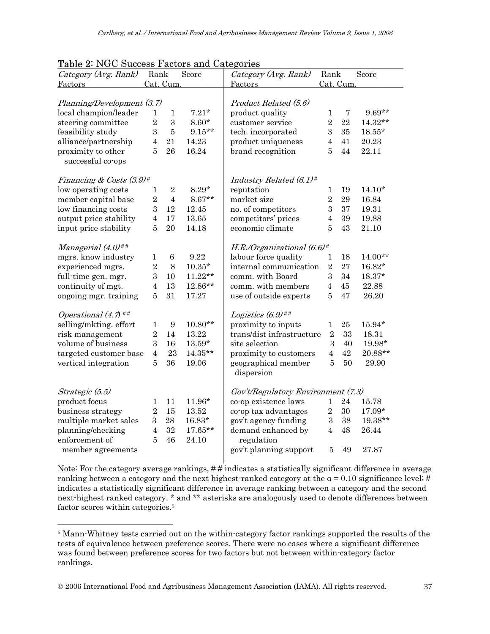|                                | <u> Lable 2. NGC Success Factors and Categories</u> |                |                                    |                                          |                |                |           |
|--------------------------------|-----------------------------------------------------|----------------|------------------------------------|------------------------------------------|----------------|----------------|-----------|
| Category (Avg. Rank)           | Rank                                                |                | Score                              | Category (Avg. Rank)                     | Rank           |                | Score     |
| Factors                        | Cat. Cum.                                           |                |                                    | Factors                                  | Cat. Cum.      |                |           |
|                                |                                                     |                |                                    |                                          |                |                |           |
| Planning/Development (3.7)     |                                                     |                |                                    | Product Related (5.6)                    |                |                |           |
| local champion/leader          | 1                                                   | $\mathbf{1}$   | $7.21*$                            | product quality                          | $\mathbf{1}$   | $\overline{7}$ | 9.69**    |
| steering committee             | $\sqrt{2}$                                          | 3              | $8.60*$                            | customer service                         | $\overline{2}$ | 22             | 14.32**   |
| feasibility study              | $\mathbf{3}$                                        | $\bf 5$        | $9.15**$                           | tech. incorporated                       | 3              | 35             | $18.55*$  |
| alliance/partnership           | $\overline{4}$                                      | 21             | 14.23                              | product uniqueness                       | $\overline{4}$ | 41             | 20.23     |
| proximity to other             | 5                                                   | 26             | 16.24                              | brand recognition                        | 5              | 44             | 22.11     |
| successful co-ops              |                                                     |                |                                    |                                          |                |                |           |
|                                |                                                     |                |                                    |                                          |                |                |           |
| Financing & Costs $(3.9)^{\#}$ |                                                     |                |                                    | Industry Related $(6.1)^*$               |                |                |           |
| low operating costs            | 1                                                   | $\overline{2}$ | $8.29*$                            | reputation                               | 1              | 19             | $14.10*$  |
| member capital base            | $\overline{2}$                                      | $\overline{4}$ | $8.67**$                           | market size                              | $\overline{2}$ | 29             | 16.84     |
| low financing costs            | 3                                                   | 12             | 12.45                              | no. of competitors                       | $\overline{3}$ | 37             | 19.31     |
| output price stability         | $\overline{4}$                                      | 17             | 13.65                              | competitors' prices                      | $\overline{4}$ | 39             | 19.88     |
| input price stability          | 5                                                   | 20             | 14.18                              | economic climate                         | 5              | 43             | 21.10     |
|                                |                                                     |                |                                    |                                          |                |                |           |
| Managerial $(4.0)$ ##          |                                                     |                |                                    | H.R./Organizational $(6.6)$ <sup>#</sup> |                |                |           |
| mgrs. know industry            | $\mathbf{1}$                                        | $\,6$          | 9.22                               | labour force quality                     | 1              | 18             | $14.00**$ |
| experienced mgrs.              | $\overline{2}$                                      | 8              | $10.35^{\star}$                    | internal communication                   | $\overline{2}$ | 27             | $16.82*$  |
| full-time gen. mgr.            | 3                                                   | 10             | $11.22**$                          | comm. with Board                         | 3              | 34             | $18.37*$  |
| continuity of mgt.             | $\overline{4}$                                      | 13             | 12.86**                            | comm. with members                       | $\overline{4}$ | 45             | 22.88     |
| ongoing mgr. training          | 5                                                   | 31             | 17.27                              | use of outside experts                   | 5              | 47             | 26.20     |
| Operational $(4.7)$ ##         |                                                     |                |                                    | Logistics $(6.9)$ <sup>##</sup>          |                |                |           |
| selling/mkting. effort         | $\mathbf{1}$                                        | 9              | $10.80**$                          | proximity to inputs                      | $\mathbf{1}$   | $25\,$         | 15.94*    |
| risk management                | $\overline{2}$                                      | 14             | 13.22                              | trans/dist infrastructure                | $\overline{2}$ | 33             | 18.31     |
|                                | 3                                                   | 16             |                                    | site selection                           | 3              |                |           |
| volume of business             |                                                     |                | $13.59^{\star}$                    |                                          |                | 40             | $19.98*$  |
| targeted customer base         | $\overline{4}$                                      | 23             | 14.35**                            | proximity to customers                   | $\overline{4}$ | 42             | 20.88**   |
| vertical integration           | $\overline{5}$                                      | 36             | 19.06                              | geographical member                      | $\overline{5}$ | 50             | 29.90     |
|                                |                                                     |                |                                    | dispersion                               |                |                |           |
| Strategic (5.5)                |                                                     |                | Gov't/Regulatory Environment (7.3) |                                          |                |                |           |
| product focus                  | 1                                                   | 11             | 11.96*                             | co-op existence laws                     | 1              | 24             | 15.78     |
| business strategy              | $\overline{2}$                                      | 15             | 13.52                              | co-op tax advantages                     | $\overline{2}$ | 30             | $17.09*$  |
| multiple market sales          | 3                                                   | 28             | $16.83*$                           | gov't agency funding                     | $\,3\,$        | 38             | 19.38**   |
| planning/checking              | $\overline{4}$                                      | 32             | $17.65**$                          | demand enhanced by                       | $\overline{4}$ | 48             | 26.44     |
| enforcement of                 | $\overline{5}$                                      | 46             | 24.10                              | regulation                               |                |                |           |
| member agreements              |                                                     |                |                                    | gov't planning support                   | $\overline{5}$ | 49             | 27.87     |
|                                |                                                     |                |                                    |                                          |                |                |           |
|                                |                                                     |                |                                    |                                          |                |                |           |

| <b>Table 2: NGC Success Factors and Categories</b> |  |
|----------------------------------------------------|--|
|                                                    |  |

Note: For the category average rankings, # # indicates a statistically significant difference in average ranking between a category and the next highest-ranked category at the  $\alpha = 0.10$  significance level; # indicates a statistically significant difference in average ranking between a category and the second next-highest ranked category. \* and \*\* asterisks are analogously used to denote differences between factor scores within categories.5

 $\overline{a}$ 

<sup>5</sup> Mann-Whitney tests carried out on the within-category factor rankings supported the results of the tests of equivalence between preference scores. There were no cases where a significant difference was found between preference scores for two factors but not between within-category factor rankings.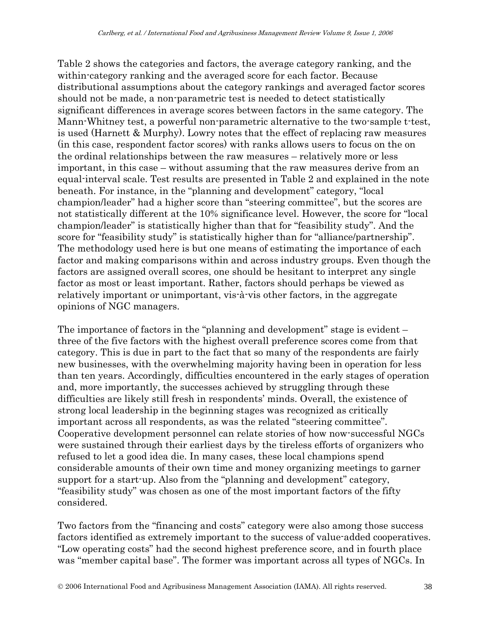Table 2 shows the categories and factors, the average category ranking, and the within-category ranking and the averaged score for each factor. Because distributional assumptions about the category rankings and averaged factor scores should not be made, a non-parametric test is needed to detect statistically significant differences in average scores between factors in the same category. The Mann-Whitney test, a powerful non-parametric alternative to the two-sample t-test, is used (Harnett & Murphy). Lowry notes that the effect of replacing raw measures (in this case, respondent factor scores) with ranks allows users to focus on the on the ordinal relationships between the raw measures – relatively more or less important, in this case – without assuming that the raw measures derive from an equal-interval scale. Test results are presented in Table 2 and explained in the note beneath. For instance, in the "planning and development" category, "local champion/leader" had a higher score than "steering committee", but the scores are not statistically different at the 10% significance level. However, the score for "local champion/leader" is statistically higher than that for "feasibility study". And the score for "feasibility study" is statistically higher than for "alliance/partnership". The methodology used here is but one means of estimating the importance of each factor and making comparisons within and across industry groups. Even though the factors are assigned overall scores, one should be hesitant to interpret any single factor as most or least important. Rather, factors should perhaps be viewed as relatively important or unimportant, vis-à-vis other factors, in the aggregate opinions of NGC managers.

The importance of factors in the "planning and development" stage is evident – three of the five factors with the highest overall preference scores come from that category. This is due in part to the fact that so many of the respondents are fairly new businesses, with the overwhelming majority having been in operation for less than ten years. Accordingly, difficulties encountered in the early stages of operation and, more importantly, the successes achieved by struggling through these difficulties are likely still fresh in respondents' minds. Overall, the existence of strong local leadership in the beginning stages was recognized as critically important across all respondents, as was the related "steering committee". Cooperative development personnel can relate stories of how now-successful NGCs were sustained through their earliest days by the tireless efforts of organizers who refused to let a good idea die. In many cases, these local champions spend considerable amounts of their own time and money organizing meetings to garner support for a start-up. Also from the "planning and development" category, "feasibility study" was chosen as one of the most important factors of the fifty considered.

Two factors from the "financing and costs" category were also among those success factors identified as extremely important to the success of value-added cooperatives. "Low operating costs" had the second highest preference score, and in fourth place was "member capital base". The former was important across all types of NGCs. In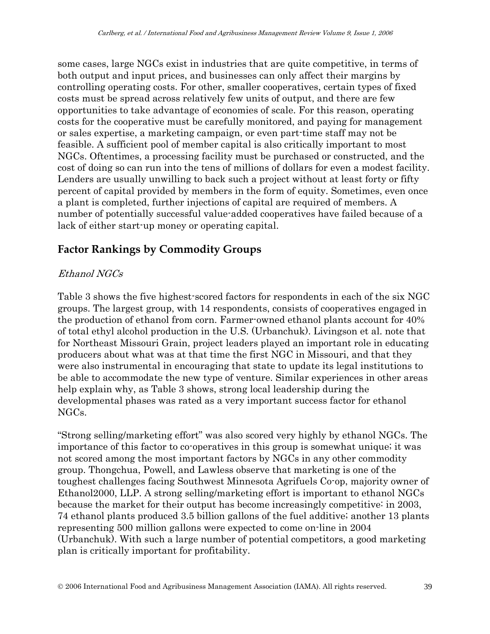some cases, large NGCs exist in industries that are quite competitive, in terms of both output and input prices, and businesses can only affect their margins by controlling operating costs. For other, smaller cooperatives, certain types of fixed costs must be spread across relatively few units of output, and there are few opportunities to take advantage of economies of scale. For this reason, operating costs for the cooperative must be carefully monitored, and paying for management or sales expertise, a marketing campaign, or even part-time staff may not be feasible. A sufficient pool of member capital is also critically important to most NGCs. Oftentimes, a processing facility must be purchased or constructed, and the cost of doing so can run into the tens of millions of dollars for even a modest facility. Lenders are usually unwilling to back such a project without at least forty or fifty percent of capital provided by members in the form of equity. Sometimes, even once a plant is completed, further injections of capital are required of members. A number of potentially successful value-added cooperatives have failed because of a lack of either start-up money or operating capital.

# **Factor Rankings by Commodity Groups**

### Ethanol NGCs

Table 3 shows the five highest-scored factors for respondents in each of the six NGC groups. The largest group, with 14 respondents, consists of cooperatives engaged in the production of ethanol from corn. Farmer-owned ethanol plants account for 40% of total ethyl alcohol production in the U.S. (Urbanchuk). Livingson et al. note that for Northeast Missouri Grain, project leaders played an important role in educating producers about what was at that time the first NGC in Missouri, and that they were also instrumental in encouraging that state to update its legal institutions to be able to accommodate the new type of venture. Similar experiences in other areas help explain why, as Table 3 shows, strong local leadership during the developmental phases was rated as a very important success factor for ethanol NGCs.

"Strong selling/marketing effort" was also scored very highly by ethanol NGCs. The importance of this factor to co-operatives in this group is somewhat unique; it was not scored among the most important factors by NGCs in any other commodity group. Thongchua, Powell, and Lawless observe that marketing is one of the toughest challenges facing Southwest Minnesota Agrifuels Co-op, majority owner of Ethanol2000, LLP. A strong selling/marketing effort is important to ethanol NGCs because the market for their output has become increasingly competitive: in 2003, 74 ethanol plants produced 3.5 billion gallons of the fuel additive; another 13 plants representing 500 million gallons were expected to come on-line in 2004 (Urbanchuk). With such a large number of potential competitors, a good marketing plan is critically important for profitability.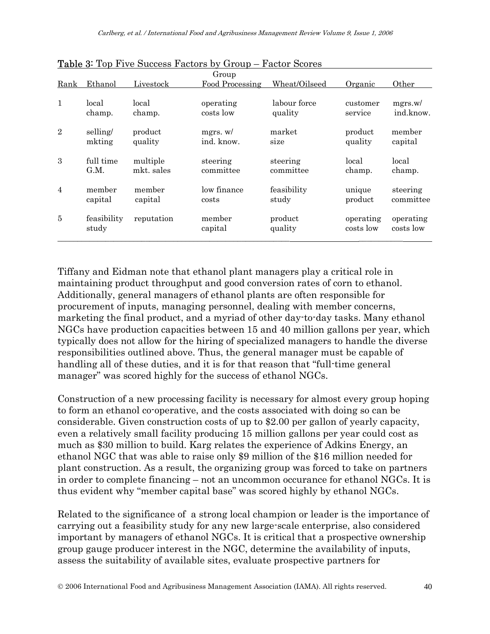|                |                      |            | Group             |                    |                        |                        |
|----------------|----------------------|------------|-------------------|--------------------|------------------------|------------------------|
| Rank           | Ethanol              | Livestock  | Food Processing   | Wheat/Oilseed      | Organic                | Other                  |
| $\mathbf{1}$   | local                | local      | operating         | labour force       | customer               | mgrs.w/                |
|                | champ.               | champ.     | costs low         | quality            | service                | ind.know.              |
| $\overline{2}$ | selling/             | product    | mgrs. w/          | market             | product                | member                 |
|                | mkting               | quality    | ind. know.        | size               | quality                | capital                |
| 3              | full time            | multiple   | steering          | steering           | local                  | local                  |
|                | G.M.                 | mkt. sales | committee         | committee          | champ.                 | champ.                 |
| $\overline{4}$ | member               | member     | low finance       | feasibility        | unique                 | steering               |
|                | capital              | capital    | costs             | study              | product                | committee              |
| $\overline{5}$ | feasibility<br>study | reputation | member<br>capital | product<br>quality | operating<br>costs low | operating<br>costs low |

Table 3: Top Five Success Factors by Group – Factor Scores

Tiffany and Eidman note that ethanol plant managers play a critical role in maintaining product throughput and good conversion rates of corn to ethanol. Additionally, general managers of ethanol plants are often responsible for procurement of inputs, managing personnel, dealing with member concerns, marketing the final product, and a myriad of other day-to-day tasks. Many ethanol NGCs have production capacities between 15 and 40 million gallons per year, which typically does not allow for the hiring of specialized managers to handle the diverse responsibilities outlined above. Thus, the general manager must be capable of handling all of these duties, and it is for that reason that "full-time general manager" was scored highly for the success of ethanol NGCs.

Construction of a new processing facility is necessary for almost every group hoping to form an ethanol co-operative, and the costs associated with doing so can be considerable. Given construction costs of up to \$2.00 per gallon of yearly capacity, even a relatively small facility producing 15 million gallons per year could cost as much as \$30 million to build. Karg relates the experience of Adkins Energy, an ethanol NGC that was able to raise only \$9 million of the \$16 million needed for plant construction. As a result, the organizing group was forced to take on partners in order to complete financing – not an uncommon occurance for ethanol NGCs. It is thus evident why "member capital base" was scored highly by ethanol NGCs.

Related to the significance of a strong local champion or leader is the importance of carrying out a feasibility study for any new large-scale enterprise, also considered important by managers of ethanol NGCs. It is critical that a prospective ownership group gauge producer interest in the NGC, determine the availability of inputs, assess the suitability of available sites, evaluate prospective partners for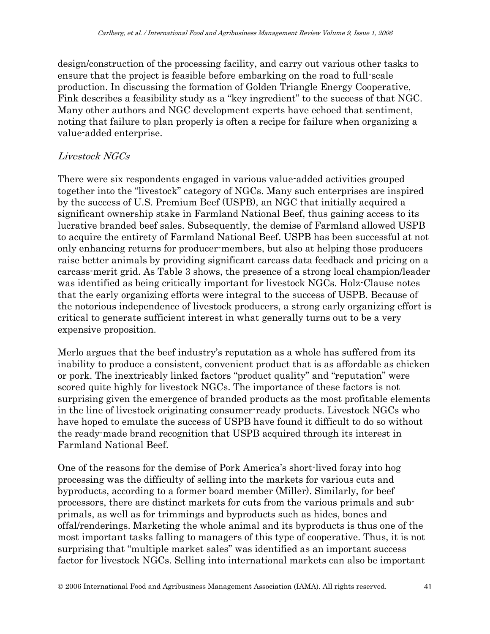design/construction of the processing facility, and carry out various other tasks to ensure that the project is feasible before embarking on the road to full-scale production. In discussing the formation of Golden Triangle Energy Cooperative, Fink describes a feasibility study as a "key ingredient" to the success of that NGC. Many other authors and NGC development experts have echoed that sentiment, noting that failure to plan properly is often a recipe for failure when organizing a value-added enterprise.

#### Livestock NGCs

There were six respondents engaged in various value-added activities grouped together into the "livestock" category of NGCs. Many such enterprises are inspired by the success of U.S. Premium Beef (USPB), an NGC that initially acquired a significant ownership stake in Farmland National Beef, thus gaining access to its lucrative branded beef sales. Subsequently, the demise of Farmland allowed USPB to acquire the entirety of Farmland National Beef. USPB has been successful at not only enhancing returns for producer-members, but also at helping those producers raise better animals by providing significant carcass data feedback and pricing on a carcass-merit grid. As Table 3 shows, the presence of a strong local champion/leader was identified as being critically important for livestock NGCs. Holz-Clause notes that the early organizing efforts were integral to the success of USPB. Because of the notorious independence of livestock producers, a strong early organizing effort is critical to generate sufficient interest in what generally turns out to be a very expensive proposition.

Merlo argues that the beef industry's reputation as a whole has suffered from its inability to produce a consistent, convenient product that is as affordable as chicken or pork. The inextricably linked factors "product quality" and "reputation" were scored quite highly for livestock NGCs. The importance of these factors is not surprising given the emergence of branded products as the most profitable elements in the line of livestock originating consumer-ready products. Livestock NGCs who have hoped to emulate the success of USPB have found it difficult to do so without the ready-made brand recognition that USPB acquired through its interest in Farmland National Beef.

One of the reasons for the demise of Pork America's short-lived foray into hog processing was the difficulty of selling into the markets for various cuts and byproducts, according to a former board member (Miller). Similarly, for beef processors, there are distinct markets for cuts from the various primals and subprimals, as well as for trimmings and byproducts such as hides, bones and offal/renderings. Marketing the whole animal and its byproducts is thus one of the most important tasks falling to managers of this type of cooperative. Thus, it is not surprising that "multiple market sales" was identified as an important success factor for livestock NGCs. Selling into international markets can also be important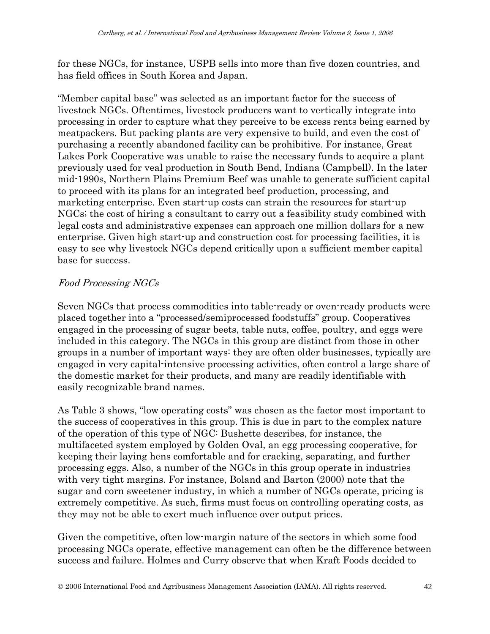for these NGCs, for instance, USPB sells into more than five dozen countries, and has field offices in South Korea and Japan.

"Member capital base" was selected as an important factor for the success of livestock NGCs. Oftentimes, livestock producers want to vertically integrate into processing in order to capture what they perceive to be excess rents being earned by meatpackers. But packing plants are very expensive to build, and even the cost of purchasing a recently abandoned facility can be prohibitive. For instance, Great Lakes Pork Cooperative was unable to raise the necessary funds to acquire a plant previously used for veal production in South Bend, Indiana (Campbell). In the later mid-1990s, Northern Plains Premium Beef was unable to generate sufficient capital to proceed with its plans for an integrated beef production, processing, and marketing enterprise. Even start-up costs can strain the resources for start-up NGCs; the cost of hiring a consultant to carry out a feasibility study combined with legal costs and administrative expenses can approach one million dollars for a new enterprise. Given high start-up and construction cost for processing facilities, it is easy to see why livestock NGCs depend critically upon a sufficient member capital base for success.

#### Food Processing NGCs

Seven NGCs that process commodities into table-ready or oven-ready products were placed together into a "processed/semiprocessed foodstuffs" group. Cooperatives engaged in the processing of sugar beets, table nuts, coffee, poultry, and eggs were included in this category. The NGCs in this group are distinct from those in other groups in a number of important ways: they are often older businesses, typically are engaged in very capital-intensive processing activities, often control a large share of the domestic market for their products, and many are readily identifiable with easily recognizable brand names.

As Table 3 shows, "low operating costs" was chosen as the factor most important to the success of cooperatives in this group. This is due in part to the complex nature of the operation of this type of NGC: Bushette describes, for instance, the multifaceted system employed by Golden Oval, an egg processing cooperative, for keeping their laying hens comfortable and for cracking, separating, and further processing eggs. Also, a number of the NGCs in this group operate in industries with very tight margins. For instance, Boland and Barton (2000) note that the sugar and corn sweetener industry, in which a number of NGCs operate, pricing is extremely competitive. As such, firms must focus on controlling operating costs, as they may not be able to exert much influence over output prices.

Given the competitive, often low-margin nature of the sectors in which some food processing NGCs operate, effective management can often be the difference between success and failure. Holmes and Curry observe that when Kraft Foods decided to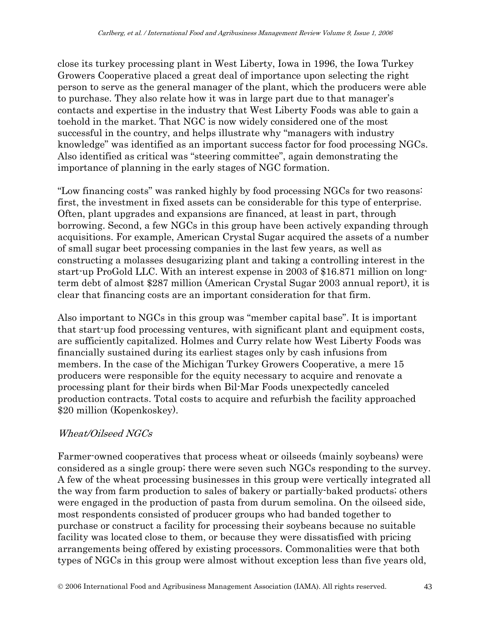close its turkey processing plant in West Liberty, Iowa in 1996, the Iowa Turkey Growers Cooperative placed a great deal of importance upon selecting the right person to serve as the general manager of the plant, which the producers were able to purchase. They also relate how it was in large part due to that manager's contacts and expertise in the industry that West Liberty Foods was able to gain a toehold in the market. That NGC is now widely considered one of the most successful in the country, and helps illustrate why "managers with industry knowledge" was identified as an important success factor for food processing NGCs. Also identified as critical was "steering committee", again demonstrating the importance of planning in the early stages of NGC formation.

"Low financing costs" was ranked highly by food processing NGCs for two reasons: first, the investment in fixed assets can be considerable for this type of enterprise. Often, plant upgrades and expansions are financed, at least in part, through borrowing. Second, a few NGCs in this group have been actively expanding through acquisitions. For example, American Crystal Sugar acquired the assets of a number of small sugar beet processing companies in the last few years, as well as constructing a molasses desugarizing plant and taking a controlling interest in the start-up ProGold LLC. With an interest expense in 2003 of \$16.871 million on longterm debt of almost \$287 million (American Crystal Sugar 2003 annual report), it is clear that financing costs are an important consideration for that firm.

Also important to NGCs in this group was "member capital base". It is important that start-up food processing ventures, with significant plant and equipment costs, are sufficiently capitalized. Holmes and Curry relate how West Liberty Foods was financially sustained during its earliest stages only by cash infusions from members. In the case of the Michigan Turkey Growers Cooperative, a mere 15 producers were responsible for the equity necessary to acquire and renovate a processing plant for their birds when Bil-Mar Foods unexpectedly canceled production contracts. Total costs to acquire and refurbish the facility approached \$20 million (Kopenkoskey).

#### Wheat/Oilseed NGCs

Farmer-owned cooperatives that process wheat or oilseeds (mainly soybeans) were considered as a single group; there were seven such NGCs responding to the survey. A few of the wheat processing businesses in this group were vertically integrated all the way from farm production to sales of bakery or partially-baked products; others were engaged in the production of pasta from durum semolina. On the oilseed side, most respondents consisted of producer groups who had banded together to purchase or construct a facility for processing their soybeans because no suitable facility was located close to them, or because they were dissatisfied with pricing arrangements being offered by existing processors. Commonalities were that both types of NGCs in this group were almost without exception less than five years old,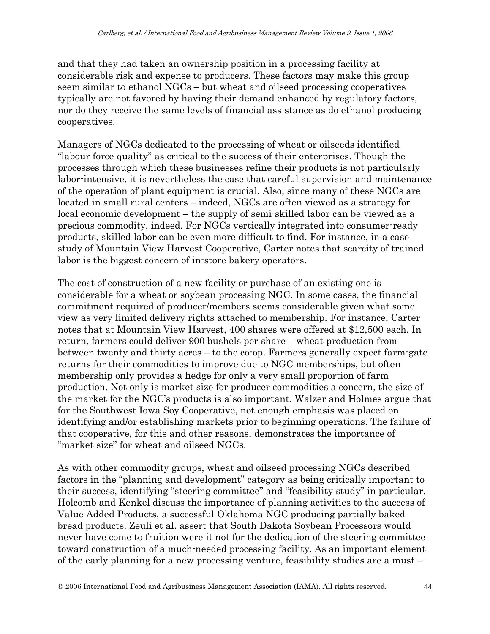and that they had taken an ownership position in a processing facility at considerable risk and expense to producers. These factors may make this group seem similar to ethanol NGCs – but wheat and oilseed processing cooperatives typically are not favored by having their demand enhanced by regulatory factors, nor do they receive the same levels of financial assistance as do ethanol producing cooperatives.

Managers of NGCs dedicated to the processing of wheat or oilseeds identified "labour force quality" as critical to the success of their enterprises. Though the processes through which these businesses refine their products is not particularly labor-intensive, it is nevertheless the case that careful supervision and maintenance of the operation of plant equipment is crucial. Also, since many of these NGCs are located in small rural centers – indeed, NGCs are often viewed as a strategy for local economic development – the supply of semi-skilled labor can be viewed as a precious commodity, indeed. For NGCs vertically integrated into consumer-ready products, skilled labor can be even more difficult to find. For instance, in a case study of Mountain View Harvest Cooperative, Carter notes that scarcity of trained labor is the biggest concern of in-store bakery operators.

The cost of construction of a new facility or purchase of an existing one is considerable for a wheat or soybean processing NGC. In some cases, the financial commitment required of producer/members seems considerable given what some view as very limited delivery rights attached to membership. For instance, Carter notes that at Mountain View Harvest, 400 shares were offered at \$12,500 each. In return, farmers could deliver 900 bushels per share – wheat production from between twenty and thirty acres – to the co-op. Farmers generally expect farm-gate returns for their commodities to improve due to NGC memberships, but often membership only provides a hedge for only a very small proportion of farm production. Not only is market size for producer commodities a concern, the size of the market for the NGC's products is also important. Walzer and Holmes argue that for the Southwest Iowa Soy Cooperative, not enough emphasis was placed on identifying and/or establishing markets prior to beginning operations. The failure of that cooperative, for this and other reasons, demonstrates the importance of "market size" for wheat and oilseed NGCs.

As with other commodity groups, wheat and oilseed processing NGCs described factors in the "planning and development" category as being critically important to their success, identifying "steering committee" and "feasibility study" in particular. Holcomb and Kenkel discuss the importance of planning activities to the success of Value Added Products, a successful Oklahoma NGC producing partially baked bread products. Zeuli et al. assert that South Dakota Soybean Processors would never have come to fruition were it not for the dedication of the steering committee toward construction of a much-needed processing facility. As an important element of the early planning for a new processing venture, feasibility studies are a must –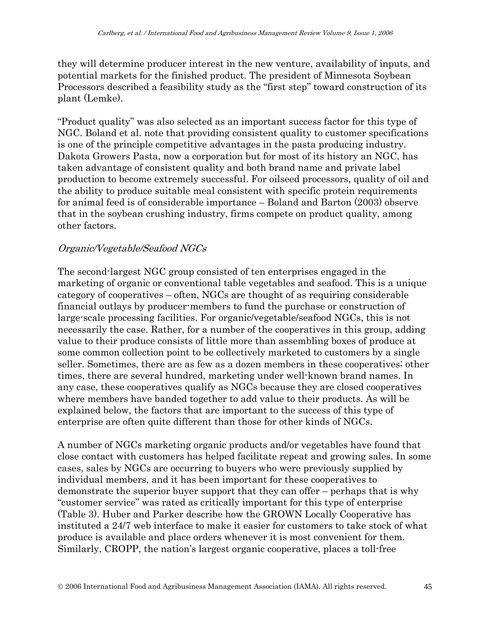they will determine producer interest in the new venture, availability of inputs, and potential markets for the finished product. The president of Minnesota Soybean Processors described a feasibility study as the "first step" toward construction of its plant (Lemke).

"Product quality" was also selected as an important success factor for this type of NGC. Boland et al. note that providing consistent quality to customer specifications is one of the principle competitive advantages in the pasta producing industry. Dakota Growers Pasta, now a corporation but for most of its history an NGC, has taken advantage of consistent quality and both brand name and private label production to become extremely successful. For oilseed processors, quality of oil and the ability to produce suitable meal consistent with specific protein requirements for animal feed is of considerable importance – Boland and Barton (2003) observe that in the soybean crushing industry, firms compete on product quality, among other factors.

#### Organic/Vegetable/Seafood NGCs

The second-largest NGC group consisted of ten enterprises engaged in the marketing of organic or conventional table vegetables and seafood. This is a unique category of cooperatives – often, NGCs are thought of as requiring considerable financial outlays by producer-members to fund the purchase or construction of large-scale processing facilities. For organic/vegetable/seafood NGCs, this is not necessarily the case. Rather, for a number of the cooperatives in this group, adding value to their produce consists of little more than assembling boxes of produce at some common collection point to be collectively marketed to customers by a single seller. Sometimes, there are as few as a dozen members in these cooperatives; other times, there are several hundred, marketing under well-known brand names. In any case, these cooperatives qualify as NGCs because they are closed cooperatives where members have banded together to add value to their products. As will be explained below, the factors that are important to the success of this type of enterprise are often quite different than those for other kinds of NGCs.

A number of NGCs marketing organic products and/or vegetables have found that close contact with customers has helped facilitate repeat and growing sales. In some cases, sales by NGCs are occurring to buyers who were previously supplied by individual members, and it has been important for these cooperatives to demonstrate the superior buyer support that they can offer – perhaps that is why "customer service" was rated as critically important for this type of enterprise (Table 3). Huber and Parker describe how the GROWN Locally Cooperative has instituted a 24/7 web interface to make it easier for customers to take stock of what produce is available and place orders whenever it is most convenient for them. Similarly, CROPP, the nation's largest organic cooperative, places a toll-free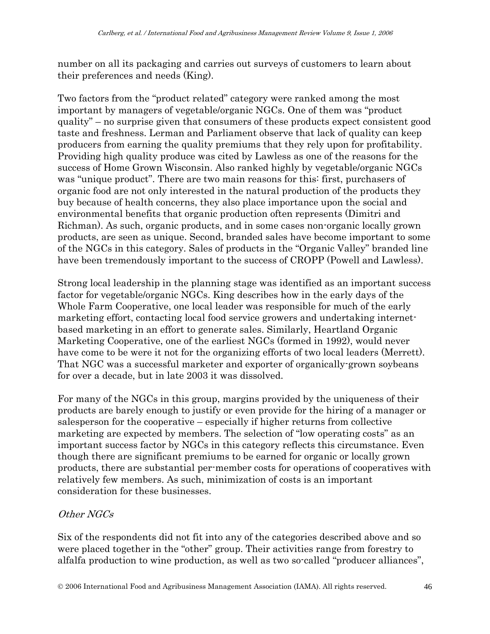number on all its packaging and carries out surveys of customers to learn about their preferences and needs (King).

Two factors from the "product related" category were ranked among the most important by managers of vegetable/organic NGCs. One of them was "product quality" – no surprise given that consumers of these products expect consistent good taste and freshness. Lerman and Parliament observe that lack of quality can keep producers from earning the quality premiums that they rely upon for profitability. Providing high quality produce was cited by Lawless as one of the reasons for the success of Home Grown Wisconsin. Also ranked highly by vegetable/organic NGCs was "unique product". There are two main reasons for this: first, purchasers of organic food are not only interested in the natural production of the products they buy because of health concerns, they also place importance upon the social and environmental benefits that organic production often represents (Dimitri and Richman). As such, organic products, and in some cases non-organic locally grown products, are seen as unique. Second, branded sales have become important to some of the NGCs in this category. Sales of products in the "Organic Valley" branded line have been tremendously important to the success of CROPP (Powell and Lawless).

Strong local leadership in the planning stage was identified as an important success factor for vegetable/organic NGCs. King describes how in the early days of the Whole Farm Cooperative, one local leader was responsible for much of the early marketing effort, contacting local food service growers and undertaking internetbased marketing in an effort to generate sales. Similarly, Heartland Organic Marketing Cooperative, one of the earliest NGCs (formed in 1992), would never have come to be were it not for the organizing efforts of two local leaders (Merrett). That NGC was a successful marketer and exporter of organically-grown soybeans for over a decade, but in late 2003 it was dissolved.

For many of the NGCs in this group, margins provided by the uniqueness of their products are barely enough to justify or even provide for the hiring of a manager or salesperson for the cooperative – especially if higher returns from collective marketing are expected by members. The selection of "low operating costs" as an important success factor by NGCs in this category reflects this circumstance. Even though there are significant premiums to be earned for organic or locally grown products, there are substantial per-member costs for operations of cooperatives with relatively few members. As such, minimization of costs is an important consideration for these businesses.

### Other NGCs

Six of the respondents did not fit into any of the categories described above and so were placed together in the "other" group. Their activities range from forestry to alfalfa production to wine production, as well as two so-called "producer alliances",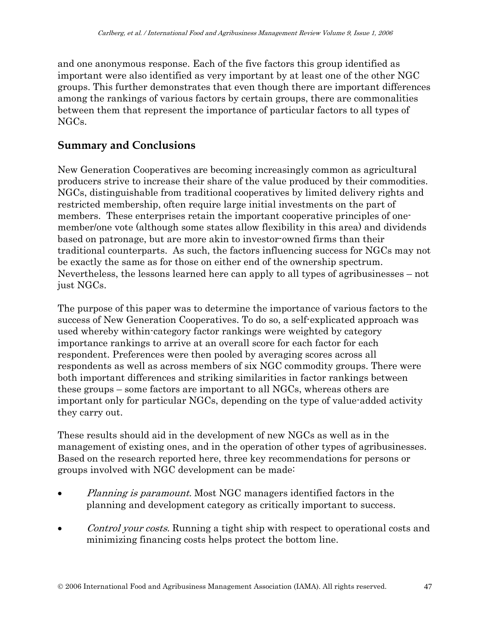and one anonymous response. Each of the five factors this group identified as important were also identified as very important by at least one of the other NGC groups. This further demonstrates that even though there are important differences among the rankings of various factors by certain groups, there are commonalities between them that represent the importance of particular factors to all types of NGCs.

### **Summary and Conclusions**

New Generation Cooperatives are becoming increasingly common as agricultural producers strive to increase their share of the value produced by their commodities. NGCs, distinguishable from traditional cooperatives by limited delivery rights and restricted membership, often require large initial investments on the part of members. These enterprises retain the important cooperative principles of onemember/one vote (although some states allow flexibility in this area) and dividends based on patronage, but are more akin to investor-owned firms than their traditional counterparts. As such, the factors influencing success for NGCs may not be exactly the same as for those on either end of the ownership spectrum. Nevertheless, the lessons learned here can apply to all types of agribusinesses – not just NGCs.

The purpose of this paper was to determine the importance of various factors to the success of New Generation Cooperatives. To do so, a self-explicated approach was used whereby within-category factor rankings were weighted by category importance rankings to arrive at an overall score for each factor for each respondent. Preferences were then pooled by averaging scores across all respondents as well as across members of six NGC commodity groups. There were both important differences and striking similarities in factor rankings between these groups – some factors are important to all NGCs, whereas others are important only for particular NGCs, depending on the type of value-added activity they carry out.

These results should aid in the development of new NGCs as well as in the management of existing ones, and in the operation of other types of agribusinesses. Based on the research reported here, three key recommendations for persons or groups involved with NGC development can be made:

- *Planning is paramount.* Most NGC managers identified factors in the planning and development category as critically important to success.
- Control your costs. Running a tight ship with respect to operational costs and minimizing financing costs helps protect the bottom line.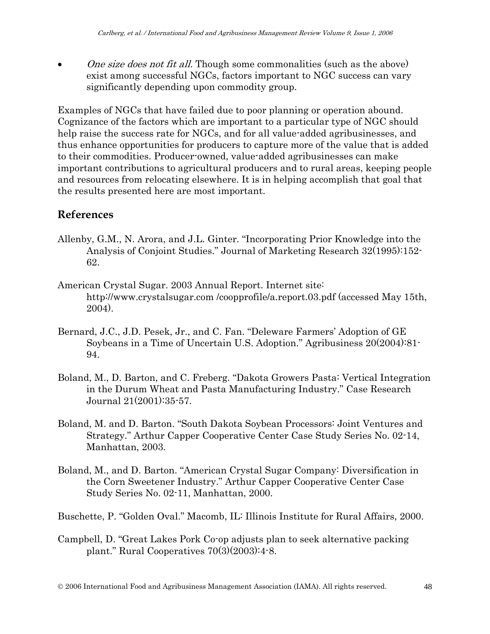• One size does not fit all. Though some commonalities (such as the above) exist among successful NGCs, factors important to NGC success can vary significantly depending upon commodity group.

Examples of NGCs that have failed due to poor planning or operation abound. Cognizance of the factors which are important to a particular type of NGC should help raise the success rate for NGCs, and for all value-added agribusinesses, and thus enhance opportunities for producers to capture more of the value that is added to their commodities. Producer-owned, value-added agribusinesses can make important contributions to agricultural producers and to rural areas, keeping people and resources from relocating elsewhere. It is in helping accomplish that goal that the results presented here are most important.

# **References**

- Allenby, G.M., N. Arora, and J.L. Ginter. "Incorporating Prior Knowledge into the Analysis of Conjoint Studies." Journal of Marketing Research 32(1995):152- 62.
- American Crystal Sugar. 2003 Annual Report. Internet site: http://www.crystalsugar.com /coopprofile/a.report.03.pdf (accessed May 15th, 2004).
- Bernard, J.C., J.D. Pesek, Jr., and C. Fan. "Deleware Farmers' Adoption of GE Soybeans in a Time of Uncertain U.S. Adoption." Agribusiness 20(2004):81- 94.
- Boland, M., D. Barton, and C. Freberg. "Dakota Growers Pasta: Vertical Integration in the Durum Wheat and Pasta Manufacturing Industry." Case Research Journal 21(2001):35-57.
- Boland, M. and D. Barton. "South Dakota Soybean Processors: Joint Ventures and Strategy." Arthur Capper Cooperative Center Case Study Series No. 02-14, Manhattan, 2003.
- Boland, M., and D. Barton. "American Crystal Sugar Company: Diversification in the Corn Sweetener Industry." Arthur Capper Cooperative Center Case Study Series No. 02-11, Manhattan, 2000.

Buschette, P. "Golden Oval." Macomb, IL: Illinois Institute for Rural Affairs, 2000.

Campbell, D. "Great Lakes Pork Co-op adjusts plan to seek alternative packing plant." Rural Cooperatives 70(3)(2003):4-8.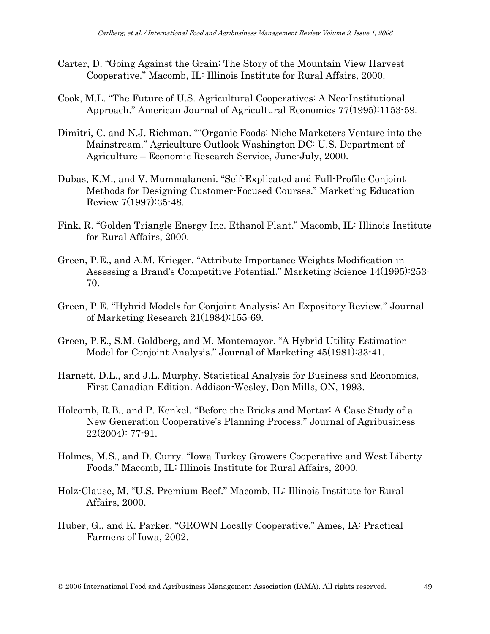- Carter, D. "Going Against the Grain: The Story of the Mountain View Harvest Cooperative." Macomb, IL: Illinois Institute for Rural Affairs, 2000.
- Cook, M.L. "The Future of U.S. Agricultural Cooperatives: A Neo-Institutional Approach." American Journal of Agricultural Economics 77(1995):1153-59.
- Dimitri, C. and N.J. Richman. ""Organic Foods: Niche Marketers Venture into the Mainstream." Agriculture Outlook Washington DC: U.S. Department of Agriculture – Economic Research Service, June-July, 2000.
- Dubas, K.M., and V. Mummalaneni. "Self-Explicated and Full-Profile Conjoint Methods for Designing Customer-Focused Courses." Marketing Education Review 7(1997):35-48.
- Fink, R. "Golden Triangle Energy Inc. Ethanol Plant." Macomb, IL: Illinois Institute for Rural Affairs, 2000.
- Green, P.E., and A.M. Krieger. "Attribute Importance Weights Modification in Assessing a Brand's Competitive Potential." Marketing Science 14(1995):253- 70.
- Green, P.E. "Hybrid Models for Conjoint Analysis: An Expository Review." Journal of Marketing Research 21(1984):155-69.
- Green, P.E., S.M. Goldberg, and M. Montemayor. "A Hybrid Utility Estimation Model for Conjoint Analysis." Journal of Marketing 45(1981):33-41.
- Harnett, D.L., and J.L. Murphy. Statistical Analysis for Business and Economics, First Canadian Edition. Addison-Wesley, Don Mills, ON, 1993.
- Holcomb, R.B., and P. Kenkel. "Before the Bricks and Mortar: A Case Study of a New Generation Cooperative's Planning Process." Journal of Agribusiness 22(2004): 77-91.
- Holmes, M.S., and D. Curry. "Iowa Turkey Growers Cooperative and West Liberty Foods." Macomb, IL: Illinois Institute for Rural Affairs, 2000.
- Holz-Clause, M. "U.S. Premium Beef." Macomb, IL: Illinois Institute for Rural Affairs, 2000.
- Huber, G., and K. Parker. "GROWN Locally Cooperative." Ames, IA: Practical Farmers of Iowa, 2002.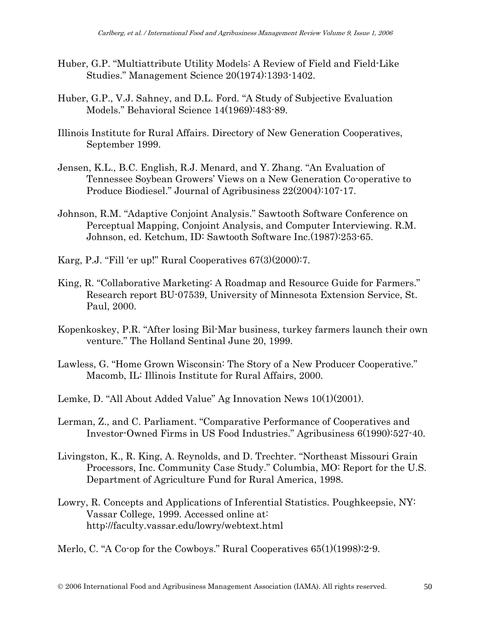- Huber, G.P. "Multiattribute Utility Models: A Review of Field and Field-Like Studies." Management Science 20(1974):1393-1402.
- Huber, G.P., V.J. Sahney, and D.L. Ford. "A Study of Subjective Evaluation Models." Behavioral Science 14(1969):483-89.
- Illinois Institute for Rural Affairs. Directory of New Generation Cooperatives, September 1999.
- Jensen, K.L., B.C. English, R.J. Menard, and Y. Zhang. "An Evaluation of Tennessee Soybean Growers' Views on a New Generation Co-operative to Produce Biodiesel." Journal of Agribusiness 22(2004):107-17.
- Johnson, R.M. "Adaptive Conjoint Analysis." Sawtooth Software Conference on Perceptual Mapping, Conjoint Analysis, and Computer Interviewing. R.M. Johnson, ed. Ketchum, ID: Sawtooth Software Inc.(1987):253-65.
- Karg, P.J. "Fill 'er up!" Rural Cooperatives 67(3)(2000):7.
- King, R. "Collaborative Marketing: A Roadmap and Resource Guide for Farmers." Research report BU-07539, University of Minnesota Extension Service, St. Paul, 2000.
- Kopenkoskey, P.R. "After losing Bil-Mar business, turkey farmers launch their own venture." The Holland Sentinal June 20, 1999.
- Lawless, G. "Home Grown Wisconsin: The Story of a New Producer Cooperative." Macomb, IL: Illinois Institute for Rural Affairs, 2000.
- Lemke, D. "All About Added Value" Ag Innovation News 10(1)(2001).
- Lerman, Z., and C. Parliament. "Comparative Performance of Cooperatives and Investor-Owned Firms in US Food Industries." Agribusiness 6(1990):527-40.
- Livingston, K., R. King, A. Reynolds, and D. Trechter. "Northeast Missouri Grain Processors, Inc. Community Case Study." Columbia, MO: Report for the U.S. Department of Agriculture Fund for Rural America, 1998.
- Lowry, R. Concepts and Applications of Inferential Statistics. Poughkeepsie, NY: Vassar College, 1999. Accessed online at: http://faculty.vassar.edu/lowry/webtext.html

Merlo, C. "A Co-op for the Cowboys." Rural Cooperatives 65(1)(1998):2-9.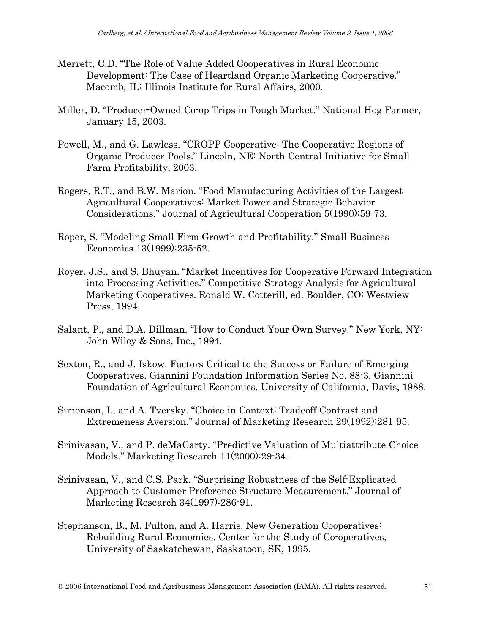- Merrett, C.D. "The Role of Value-Added Cooperatives in Rural Economic Development: The Case of Heartland Organic Marketing Cooperative." Macomb, IL: Illinois Institute for Rural Affairs, 2000.
- Miller, D. "Producer-Owned Co-op Trips in Tough Market." National Hog Farmer, January 15, 2003.
- Powell, M., and G. Lawless. "CROPP Cooperative: The Cooperative Regions of Organic Producer Pools." Lincoln, NE: North Central Initiative for Small Farm Profitability, 2003.
- Rogers, R.T., and B.W. Marion. "Food Manufacturing Activities of the Largest Agricultural Cooperatives: Market Power and Strategic Behavior Considerations." Journal of Agricultural Cooperation 5(1990):59-73.
- Roper, S. "Modeling Small Firm Growth and Profitability." Small Business Economics 13(1999):235-52.
- Royer, J.S., and S. Bhuyan. "Market Incentives for Cooperative Forward Integration into Processing Activities." Competitive Strategy Analysis for Agricultural Marketing Cooperatives. Ronald W. Cotterill, ed. Boulder, CO: Westview Press, 1994.
- Salant, P., and D.A. Dillman. "How to Conduct Your Own Survey." New York, NY: John Wiley & Sons, Inc., 1994.
- Sexton, R., and J. Iskow. Factors Critical to the Success or Failure of Emerging Cooperatives. Giannini Foundation Information Series No. 88-3. Giannini Foundation of Agricultural Economics, University of California, Davis, 1988.
- Simonson, I., and A. Tversky. "Choice in Context: Tradeoff Contrast and Extremeness Aversion." Journal of Marketing Research 29(1992):281-95.
- Srinivasan, V., and P. deMaCarty. "Predictive Valuation of Multiattribute Choice Models." Marketing Research 11(2000):29-34.
- Srinivasan, V., and C.S. Park. "Surprising Robustness of the Self-Explicated Approach to Customer Preference Structure Measurement." Journal of Marketing Research 34(1997):286-91.
- Stephanson, B., M. Fulton, and A. Harris. New Generation Cooperatives: Rebuilding Rural Economies. Center for the Study of Co-operatives, University of Saskatchewan, Saskatoon, SK, 1995.